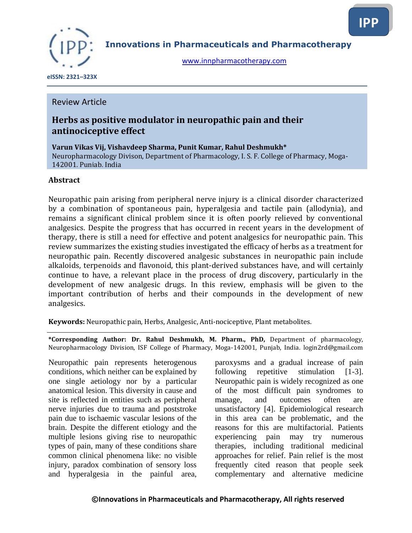

**Innovations in Pharmaceuticals and Pharmacotherapy**

[www.innpharmacotherapy.com](http://www.innpharmacotherapy.com/)

 **eISSN: 2321–323X**

## Review Article

## **Herbs as positive modulator in neuropathic pain and their antinociceptive effect**

**Varun Vikas Vij, Vishavdeep Sharma, Punit Kumar, Rahul Deshmukh\*** Neuropharmacology Divison, Department of Pharmacology, I. S. F. College of Pharmacy, Moga-142001, Punjab, India

### **Abstract**

Neuropathic pain arising from peripheral nerve injury is a clinical disorder characterized by a combination of spontaneous pain, hyperalgesia and tactile pain (allodynia), and remains a significant clinical problem since it is often poorly relieved by conventional analgesics. Despite the progress that has occurred in recent years in the development of therapy, there is still a need for effective and potent analgesics for neuropathic pain. This review summarizes the existing studies investigated the efficacy of herbs as a treatment for neuropathic pain. Recently discovered analgesic substances in neuropathic pain include alkaloids, terpenoids and flavonoid, this plant-derived substances have, and will certainly continue to have, a relevant place in the process of drug discovery, particularly in the development of new analgesic drugs. In this review, emphasis will be given to the important contribution of herbs and their compounds in the development of new analgesics.

**Keywords:** Neuropathic pain, Herbs, Analgesic, Anti-nociceptive, Plant metabolites.

**\*Corresponding Author: Dr. Rahul Deshmukh, M. Pharm., PhD,** Department of pharmacology, Neuropharmacology Division, ISF College of Pharmacy, Moga-142001, Punjab, India. login2rd@gmail.com

Neuropathic pain represents heterogenous conditions, which neither can be explained by one single aetiology nor by a particular anatomical lesion. This diversity in cause and site is reflected in entities such as peripheral nerve injuries due to trauma and poststroke pain due to ischaemic vascular lesions of the brain. Despite the different etiology and the multiple lesions giving rise to neuropathic types of pain, many of these conditions share common clinical phenomena like: no visible injury, paradox combination of sensory loss and hyperalgesia in the painful area,

paroxysms and a gradual increase of pain following repetitive stimulation [1-3]. Neuropathic pain is widely recognized as one of the most difficult pain syndromes to manage, and outcomes often are unsatisfactory [4]. Epidemiological research in this area can be problematic, and the reasons for this are multifactorial. Patients experiencing pain may try numerous therapies, including traditional medicinal approaches for relief. Pain relief is the most frequently cited reason that people seek complementary and alternative medicine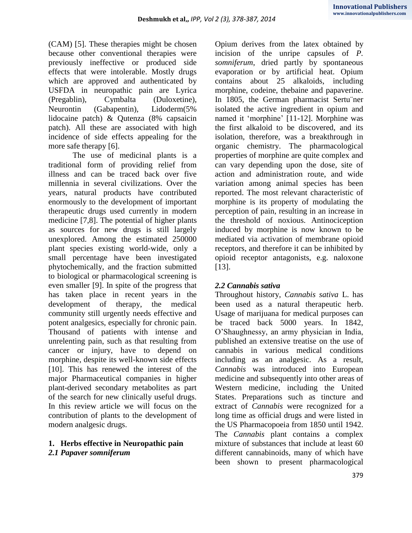(CAM) [5]. These therapies might be chosen because other conventional therapies were previously ineffective or produced side effects that were intolerable. Mostly drugs which are approved and authenticated by USFDA in neuropathic pain are Lyrica (Pregablin), Cymbalta (Duloxetine), Neurontin (Gabapentin), Lidoderm(5% lidocaine patch) & Qutenza (8% capsaicin patch). All these are associated with high incidence of side effects appealing for the more safe therapy [6].

The use of medicinal plants is a traditional form of providing relief from illness and can be traced back over five millennia in several civilizations. Over the years, natural products have contributed enormously to the development of important therapeutic drugs used currently in modern medicine [7,8]. The potential of higher plants as sources for new drugs is still largely unexplored. Among the estimated 250000 plant species existing world-wide, only a small percentage have been investigated phytochemically, and the fraction submitted to biological or pharmacological screening is even smaller [9]. In spite of the progress that has taken place in recent years in the development of therapy, the medical community still urgently needs effective and potent analgesics, especially for chronic pain. Thousand of patients with intense and unrelenting pain, such as that resulting from cancer or injury, have to depend on morphine, despite its well-known side effects [10]. This has renewed the interest of the major Pharmaceutical companies in higher plant-derived secondary metabolites as part of the search for new clinically useful drugs. In this review article we will focus on the contribution of plants to the development of modern analgesic drugs.

## **1. Herbs effective in Neuropathic pain** *2.1 Papaver somniferum*

Opium derives from the latex obtained by incision of the unripe capsules of *P. somniferum*, dried partly by spontaneous evaporation or by artificial heat. Opium contains about 25 alkaloids, including morphine, codeine, thebaine and papaverine. In 1805, the German pharmacist Sertu¨ner isolated the active ingredient in opium and named it "morphine" [11-12]. Morphine was the first alkaloid to be discovered, and its isolation, therefore, was a breakthrough in organic chemistry. The pharmacological properties of morphine are quite complex and can vary depending upon the dose, site of action and administration route, and wide variation among animal species has been reported. The most relevant characteristic of morphine is its property of modulating the perception of pain, resulting in an increase in the threshold of noxious. Antinociception induced by morphine is now known to be mediated via activation of membrane opioid receptors, and therefore it can be inhibited by opioid receptor antagonists, e.g. naloxone [13].

## *2.2 Cannabis sativa*

Throughout history, *Cannabis sativa* L. has been used as a natural therapeutic herb. Usage of marijuana for medical purposes can be traced back 5000 years. In 1842, O"Shaughnessy, an army physician in India, published an extensive treatise on the use of cannabis in various medical conditions including as an analgesic. As a result, *Cannabis* was introduced into European medicine and subsequently into other areas of Western medicine, including the United States. Preparations such as tincture and extract of *Cannabis* were recognized for a long time as official drugs and were listed in the US Pharmacopoeia from 1850 until 1942. The *Cannabis* plant contains a complex mixture of substances that include at least 60 different cannabinoids, many of which have been shown to present pharmacological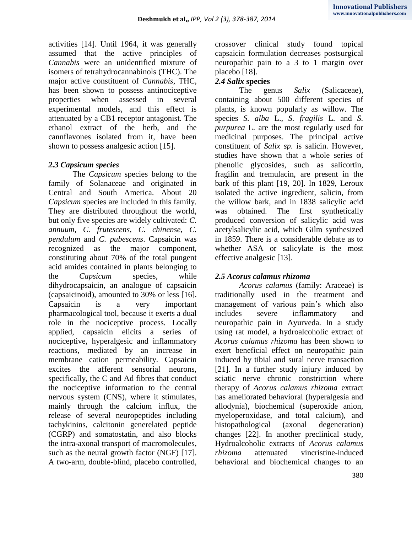activities [14]. Until 1964, it was generally assumed that the active principles of *Cannabis* were an unidentified mixture of isomers of tetrahydrocannabinols (THC). The major active constituent of *Cannabis*, THC, has been shown to possess antinociceptive properties when assessed in several experimental models, and this effect is attenuated by a CB1 receptor antagonist. The ethanol extract of the herb, and the cannflavones isolated from it, have been shown to possess analgesic action [15].

## *2.3 Capsicum species*

The *Capsicum* species belong to the family of Solanaceae and originated in Central and South America. About 20 *Capsicum* species are included in this family. They are distributed throughout the world, but only five species are widely cultivated: *C. annuum, C. frutescens, C. chinense, C. pendulum* and *C. pubescens*. Capsaicin was recognized as the major component, constituting about 70% of the total pungent acid amides contained in plants belonging to the *Capsicum* species, while dihydrocapsaicin, an analogue of capsaicin (capsaicinoid), amounted to 30% or less [16]. Capsaicin is a very important pharmacological tool, because it exerts a dual role in the nociceptive process. Locally applied, capsaicin elicits a series of nociceptive, hyperalgesic and inflammatory reactions, mediated by an increase in membrane cation permeability. Capsaicin excites the afferent sensorial neurons, specifically, the C and Ad fibres that conduct the nociceptive information to the central nervous system (CNS), where it stimulates, mainly through the calcium influx, the release of several neuropeptides including tachykinins, calcitonin generelated peptide (CGRP) and somatostatin, and also blocks the intra-axonal transport of macromolecules, such as the neural growth factor (NGF) [17]. A two-arm, double-blind, placebo controlled,

crossover clinical study found topical capsaicin formulation decreases postsurgical neuropathic pain to a 3 to 1 margin over placebo [18].

## *2.4 Salix* **species**

The genus *Salix* (Salicaceae), containing about 500 different species of plants, is known popularly as willow. The species *S. alba* L., *S. fragilis* L. and *S. purpurea* L. are the most regularly used for medicinal purposes. The principal active constituent of *Salix sp*. is salicin. However, studies have shown that a whole series of phenolic glycosides, such as salicortin, fragilin and tremulacin, are present in the bark of this plant [19, 20]. In 1829, Leroux isolated the active ingredient, salicin, from the willow bark, and in 1838 salicylic acid was obtained. The first synthetically produced conversion of salicylic acid was acetylsalicylic acid, which Gilm synthesized in 1859. There is a considerable debate as to whether ASA or salicylate is the most effective analgesic [13].

## *2.5 Acorus calamus rhizoma*

*Acorus calamus* (family: Araceae) is traditionally used in the treatment and management of various pain"s which also includes severe inflammatory and neuropathic pain in Ayurveda. In a study using rat model, a hydroalcoholic extract of *Acorus calamus rhizoma* has been shown to exert beneficial effect on neuropathic pain induced by tibial and sural nerve transaction [21]. In a further study injury induced by sciatic nerve chronic constriction where therapy of *Acorus calamus rhizoma* extract has ameliorated behavioral (hyperalgesia and allodynia), biochemical (superoxide anion, myeloperoxidase, and total calcium), and histopathological (axonal degeneration) changes [22]. In another preclinical study, Hydroalcoholic extracts of *Acorus calamus rhizoma* attenuated vincristine-induced behavioral and biochemical changes to an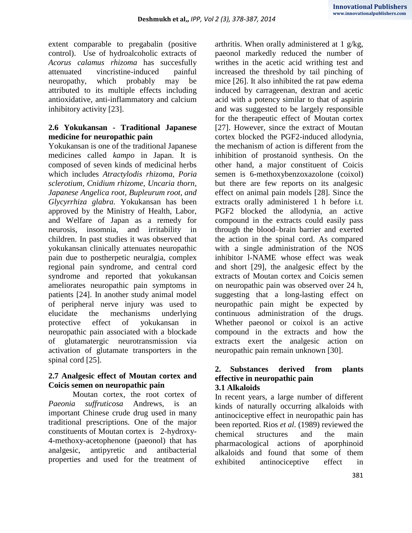extent comparable to pregabalin (positive control). Use of hydroalcoholic extracts of *Acorus calamus rhizoma* has succesfully attenuated vincristine-induced painful neuropathy, which probably may be attributed to its multiple effects including antioxidative, anti-inflammatory and calcium inhibitory activity [23].

## **2.6 Yokukansan - Traditional Japanese medicine for neuropathic pain**

Yokukansan is one of the traditional Japanese medicines called *kampo* in Japan. It is composed of seven kinds of medicinal herbs which includes *Atractylodis rhizoma, Poria sclerotium, Cnidium rhizome, Uncaria thorn, Japanese Angelica root, Bupleurum root, and Glycyrrhiza glabra.* Yokukansan has been approved by the Ministry of Health, Labor, and Welfare of Japan as a remedy for neurosis, insomnia, and irritability in children. In past studies it was observed that yokukansan clinically attenuates neuropathic pain due to postherpetic neuralgia, complex regional pain syndrome, and central cord syndrome and reported that yokukansan ameliorates neuropathic pain symptoms in patients [24]. In another study animal model of peripheral nerve injury was used to elucidate the mechanisms underlying protective effect of yokukansan in neuropathic pain associated with a blockade of glutamatergic neurotransmission via activation of glutamate transporters in the spinal cord [25].

## **2.7 Analgesic effect of Moutan cortex and Coicis semen on neuropathic pain**

Moutan cortex, the root cortex of *Paeonia suffruticosa* Andrews, is an important Chinese crude drug used in many traditional prescriptions. One of the major constituents of Moutan cortex is 2-hydroxy-4-methoxy-acetophenone (paeonol) that has analgesic, antipyretic and antibacterial properties and used for the treatment of

arthritis. When orally administered at 1 g/kg, paeonol markedly reduced the number of writhes in the acetic acid writhing test and increased the threshold by tail pinching of mice [26]. It also inhibited the rat paw edema induced by carrageenan, dextran and acetic acid with a potency similar to that of aspirin and was suggested to be largely responsible for the therapeutic effect of Moutan cortex [27]. However, since the extract of Moutan cortex blocked the PGF2-induced allodynia, the mechanism of action is different from the inhibition of prostanoid synthesis. On the other hand, a major constituent of Coicis semen is 6-methoxybenzoxazolone (coixol) but there are few reports on its analgesic effect on animal pain models [28]. Since the extracts orally administered 1 h before i.t. PGF2 blocked the allodynia, an active compound in the extracts could easily pass through the blood–brain barrier and exerted the action in the spinal cord. As compared with a single administration of the NOS inhibitor l-NAME whose effect was weak and short [29], the analgesic effect by the extracts of Moutan cortex and Coicis semen on neuropathic pain was observed over 24 h, suggesting that a long-lasting effect on neuropathic pain might be expected by continuous administration of the drugs. Whether paeonol or coixol is an active compound in the extracts and how the extracts exert the analgesic action on neuropathic pain remain unknown [30].

# **2. Substances derived from plants effective in neuropathic pain**

### **3.1 Alkaloids**

In recent years, a large number of different kinds of naturally occurring alkaloids with antinociceptive effect in neuropathic pain has been reported. Rios *et al.* (1989) reviewed the chemical structures and the main pharmacological actions of aporphinoid alkaloids and found that some of them exhibited antinociceptive effect in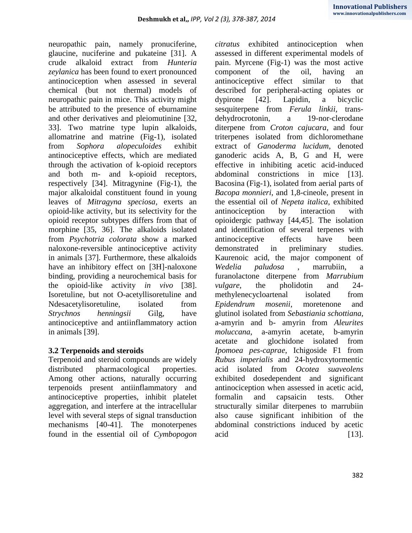neuropathic pain, namely pronuciferine, glaucine, nuciferine and pukateine [31]. A crude alkaloid extract from *Hunteria zeylanica* has been found to exert pronounced antinociception when assessed in several chemical (but not thermal) models of neuropathic pain in mice. This activity might be attributed to the presence of eburnamine and other derivatives and pleiomutinine [32, 33]. Two matrine type lupin alkaloids, allomatrine and matrine (Fig-1), isolated from *Sophora alopeculoides* exhibit antinociceptive effects, which are mediated through the activation of k-opioid receptors and both m- and k-opioid receptors, respectively [34]. Mitragynine (Fig-1), the major alkaloidal constituent found in young leaves of *Mitragyna speciosa*, exerts an opioid-like activity, but its selectivity for the opioid receptor subtypes differs from that of morphine [35, 36]. The alkaloids isolated from *Psychotria colorata* show a marked naloxone-reversible antinociceptive activity in animals [37]. Furthermore, these alkaloids have an inhibitory effect on [3H]-naloxone binding, providing a neurochemical basis for the opioid-like activity *in vivo* [38]. Isoretuline, but not O-acetyllisoretuline and Ndesacetylisoretuline, isolated from *Strychnos henningsii* Gilg, have antinociceptive and antiinflammatory action in animals [39].

### **3.2 Terpenoids and steroids**

Terpenoid and steroid compounds are widely distributed pharmacological properties. Among other actions, naturally occurring terpenoids present antiinflammatory and antinociceptive properties, inhibit platelet aggregation, and interfere at the intracellular level with several steps of signal transduction mechanisms [40-41]. The monoterpenes found in the essential oil of *Cymbopogon* 

*citratus* exhibited antinociception when assessed in different experimental models of pain. Myrcene (Fig-1) was the most active component of the oil, having an antinociceptive effect similar to that described for peripheral-acting opiates or dypirone [42]. Lapidin, a bicyclic sesquiterpene from *Ferula linkii*, transdehydrocrotonin, a 19-nor-clerodane diterpene from *Croton cajucara*, and four triterpenes isolated from dichloromethane extract of *Ganoderma lucidum*, denoted ganoderic acids A, B, G and H, were effective in inhibiting acetic acid-induced abdominal constrictions in mice [13]. Bacosina (Fig-1), isolated from aerial parts of *Bacopa monnieri*, and 1,8-cineole, present in the essential oil of *Nepeta italica*, exhibited antinociception by interaction with opioidergic pathway [44,45]. The isolation and identification of several terpenes with antinociceptive effects have been demonstrated in preliminary studies. Kaurenoic acid, the major component of *Wedelia paludosa* , marrubiin, a furanolactone diterpene from *Marrubium vulgare*, the pholidotin and 24 methylenecycloartenal isolated from *Epidendrum mosenii*, moretenone and glutinol isolated from *Sebastiania schottiana*, a-amyrin and b- amyrin from *Aleurites moluccana*, a-amyrin acetate, b-amyrin acetate and glochidone isolated from *Ipomoea pes-caprae*, Ichigoside F1 from *Rubus imperialis* and 24-hydroxytormentic acid isolated from *Ocotea suaveolens* exhibited dosedependent and significant antinociception when assessed in acetic acid, formalin and capsaicin tests. Other structurally similar diterpenes to marrubiin also cause significant inhibition of the abdominal constrictions induced by acetic acid [13].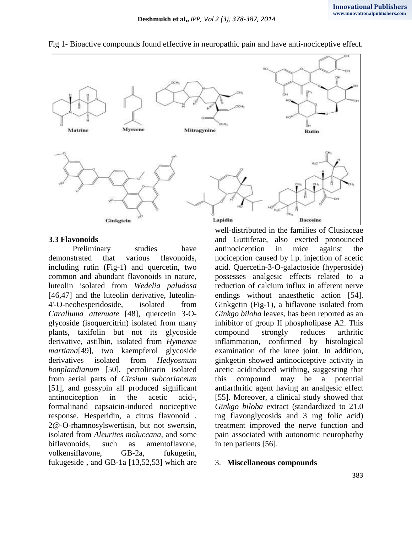

### Fig 1- Bioactive compounds found effective in neuropathic pain and have anti-nociceptive effect.

### **3.3 Flavonoids**

Preliminary studies have demonstrated that various flavonoids, including rutin (Fig-1) and quercetin, two common and abundant flavonoids in nature, luteolin isolated from *Wedelia paludosa*  [46,47] and the luteolin derivative, luteolin-4'-O-neohesperidoside, isolated from *Caralluma attenuate* [48], quercetin 3-Oglycoside (isoquercitrin) isolated from many plants, taxifolin but not its glycoside derivative, astilbin, isolated from *Hymenae martiana*[49], two kaempferol glycoside derivatives isolated from *Hedyosmum bonplandianum* [50], pectolinarin isolated from aerial parts of *Cirsium subcoriaceum*  [51], and gossypin all produced significant antinociception in the acetic acid-, formalinand capsaicin-induced nociceptive response. Hesperidin, a citrus flavonoid , 2@-O-rhamnosylswertisin, but not swertsin, isolated from *Aleurites moluccana*, and some biflavonoids, such as amentoflavone, volkensiflavone, GB-2a, fukugetin, fukugeside , and GB-1a [13,52,53] which are

well-distributed in the families of Clusiaceae and Guttiferae, also exerted pronounced antinociception in mice against the nociception caused by i.p. injection of acetic acid. Quercetin-3-O-galactoside (hyperoside) possesses analgesic effects related to a reduction of calcium influx in afferent nerve endings without anaesthetic action [54]. Ginkgetin (Fig-1), a biflavone isolated from *Ginkgo biloba* leaves, has been reported as an inhibitor of group II phospholipase A2. This compound strongly reduces arthritic inflammation, confirmed by histological examination of the knee joint. In addition, ginkgetin showed antinociceptive activity in acetic acidinduced writhing, suggesting that this compound may be a potential antiarthritic agent having an analgesic effect [55]. Moreover, a clinical study showed that *Ginkgo biloba* extract (standardized to 21.0 mg flavonglycosids and 3 mg folic acid) treatment improved the nerve function and pain associated with autonomic neurophathy in ten patients [56].

### 3. **Miscellaneous compounds**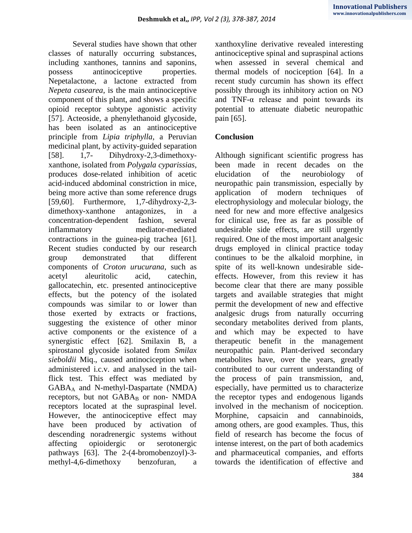Several studies have shown that other classes of naturally occurring substances, including xanthones, tannins and saponins, possess antinociceptive properties. Nepetalactone, a lactone extracted from *Nepeta casearea*, is the main antinociceptive component of this plant, and shows a specific opioid receptor subtype agonistic activity [57]. Acteoside, a phenylethanoid glycoside, has been isolated as an antinociceptive principle from *Lipia triphylla*, a Peruvian medicinal plant, by activity-guided separation [58]. 1,7- Dihydroxy-2,3-dimethoxyxanthone, isolated from *Polygala cyparissias*, produces dose-related inhibition of acetic acid-induced abdominal constriction in mice, being more active than some reference drugs [59,60]. Furthermore, 1,7-dihydroxy-2,3 dimethoxy-xanthone antagonizes, in a concentration-dependent fashion, several inflammatory mediator-mediated contractions in the guinea-pig trachea [61]. Recent studies conducted by our research group demonstrated that different components of *Croton urucurana*, such as acetyl aleuritolic acid, catechin, gallocatechin, etc. presented antinociceptive effects, but the potency of the isolated compounds was similar to or lower than those exerted by extracts or fractions, suggesting the existence of other minor active components or the existence of a synergistic effect [62]. Smilaxin B, a spirostanol glycoside isolated from *Smilax sieboldii* Miq., caused antinociception when administered i.c.v. and analysed in the tailflick test. This effect was mediated by GABA<sup>A</sup> and N-methyl-Daspartate (NMDA) receptors, but not  $GABA_B$  or non- NMDA receptors located at the supraspinal level. However, the antinociceptive effect may have been produced by activation of descending noradrenergic systems without affecting opioidergic or serotonergic pathways [63]. The 2-(4-bromobenzoyl)-3 methyl-4,6-dimethoxy benzofuran, a

xanthoxyline derivative revealed interesting antinociceptive spinal and supraspinal actions when assessed in several chemical and thermal models of nociception [64]. In a recent study curcumin has shown its effect possibly through its inhibitory action on NO and TNF- $\alpha$  release and point towards its potential to attenuate diabetic neuropathic pain [65].

### **Conclusion**

Although significant scientific progress has been made in recent decades on the elucidation of the neurobiology of neuropathic pain transmission, especially by application of modern techniques of electrophysiology and molecular biology, the need for new and more effective analgesics for clinical use, free as far as possible of undesirable side effects, are still urgently required. One of the most important analgesic drugs employed in clinical practice today continues to be the alkaloid morphine, in spite of its well-known undesirable sideeffects. However, from this review it has become clear that there are many possible targets and available strategies that might permit the development of new and effective analgesic drugs from naturally occurring secondary metabolites derived from plants, and which may be expected to have therapeutic benefit in the management neuropathic pain. Plant-derived secondary metabolites have, over the years, greatly contributed to our current understanding of the process of pain transmission, and, especially, have permitted us to characterize the receptor types and endogenous ligands involved in the mechanism of nociception. Morphine, capsaicin and cannabinoids, among others, are good examples. Thus, this field of research has become the focus of intense interest, on the part of both academics and pharmaceutical companies, and efforts towards the identification of effective and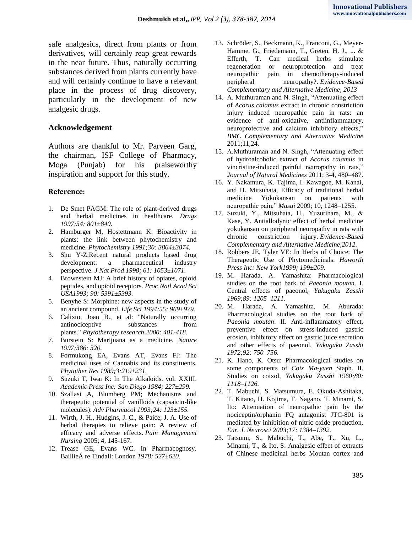safe analgesics, direct from plants or from derivatives, will certainly reap great rewards in the near future. Thus, naturally occurring substances derived from plants currently have and will certainly continue to have a relevant place in the process of drug discovery, particularly in the development of new analgesic drugs.

### **Acknowledgement**

Authors are thankful to Mr. Parveen Garg, the chairman, ISF College of Pharmacy, Moga (Punjab) for his praiseworthy inspiration and support for this study.

#### **Reference:**

- 1. De Smet PAGM: The role of plant-derived drugs and herbal medicines in healthcare. *Drugs 1997;54: 801±840.*
- 2. Hamburger M, Hostettmann K: Bioactivity in plants: the link between phytochemistry and medicine. *Phytochemistry 1991;30: 3864±3874.*
- 3. Shu Y-Z:Recent natural products based drug development: a pharmaceutical industry perspective. *J Nat Prod 1998; 61: 1053±1071.*
- 4. Brownstein MJ: A brief history of opiates, opioid peptides, and opioid receptors. *Proc Natl Acad Sci USA1993; 90: 5391±5393.*
- 5. Benyhe S: Morphine: new aspects in the study of an ancient compound. *Life Sci 1994;55: 969±979.*
- 6. Calixto, Joao B., et al: "Naturally occurring antinociceptive substances from plants." *Phytotherapy research 2000: 401-418.*
- 7. Burstein S: Marijuana as a medicine. *Nature 1997;386: 320.*
- 8. Formukong EA, Evans AT, Evans FJ: The medicinal uses of Cannabis and its constituents. *Phytother Res 1989;3:219±231.*
- 9. Suzuki T, Iwai K: In The Alkaloids. vol. XXIII. *Academic Press Inc: San Diego 1984; 227±299.*
- 10. Szallasi A, Blumberg PM; Mechanisms and therapeutic potential of vanilloids (capsaicin-like molecules). *Adv Pharmacol 1993;24: 123±155.*
- 11. Wirth, J. H., Hudgins, J. C., & Paice, J. A. Use of herbal therapies to relieve pain: A review of efficacy and adverse effects. *Pain Management Nursing* 2005; 4, 145-167.
- 12. Trease GE, Evans WC. In Pharmacognosy. BaillieÁ re Tindall: London *1978: 527±620.*
- 13. Schröder, S., Beckmann, K., Franconi, G., Meyer-Hamme, G., Friedemann, T., Greten, H. J., ... & Efferth, T. Can medical herbs stimulate regeneration or neuroprotection and treat neuropathic pain in chemotherapy-induced peripheral neuropathy?. *Evidence-Based Complementary and Alternative Medicine*, *2013*
- 14. A. Muthuraman and N. Singh, "Attenuating effect of *Acorus calamus* extract in chronic constriction injury induced neuropathic pain in rats: an evidence of anti-oxidative, antiinflammatory, neuroprotective and calcium inhibitory effects," *BMC Complementary and Alternative Medicine* 2011;11,24.
- 15. A.Muthuraman and N. Singh, "Attenuating effect of hydroalcoholic extract of *Acorus calamus* in vincristine-induced painful neuropathy in rats," *Journal of Natural Medicines* 2011; 3-4, 480–487.
- 16. Y. Nakamura, K. Tajima, I. Kawagoe, M. Kanai, and H. Mitsuhata, Efficacy of traditional herbal medicine Yokukansan on patients with neuropathic pain," *Masui* 2009; 10, 1248–1255.
- 17. Suzuki, Y., Mitsuhata, H., Yuzurihara, M., & Kase, Y. Antiallodynic effect of herbal medicine yokukansan on peripheral neuropathy in rats with chronic constriction injury. *Evidence-Based Complementary and Alternative Medicine*,*2012*.
- 18. Robbers JE, Tyler VE: In Herbs of Choice: The Therapeutic Use of Phytomedicinals. *Haworth Press Inc: New York1999; 199±209.*
- 19. M. Harada, A. Yamashita: Pharmacological studies on the root bark of *Paeonia moutan*. I. Central effects of paeonol, *Yakugaku Zasshi 1969;89: 1205–1211.*
- 20. M. Harada, A. Yamashita, M. Aburada: Pharmacological studies on the root bark of *Paeonia moutan*. II. Anti-inflammatory effect, preventive effect on stress-induced gastric erosion, inhibitory effect on gastric juice secretion and other effects of paeonol, *Yakugaku Zasshi 1972;92: 750–756.*
- 21. K. Hano, K. Otsu: Pharmacological studies on some components of *Coix Ma-yuen* Staph. II. Studies on coixol, *Yakugaku Zasshi 1960;80: 1118–1126.*
- 22. T. Mabuchi, S. Matsumura, E. Okuda-Ashitaka, T. Kitano, H. Kojima, T. Nagano, T. Minami, S. Ito: Attenuation of neuropathic pain by the nociceptin/orphanin FQ antagonist JTC-801 is mediated by inhibition of nitric oxide production, *Eur. J. Neurosci 2003;17: 1384–1392.*
- 23. Tatsumi, S., Mabuchi, T., Abe, T., Xu, L., Minami, T., & Ito, S: Analgesic effect of extracts of Chinese medicinal herbs Moutan cortex and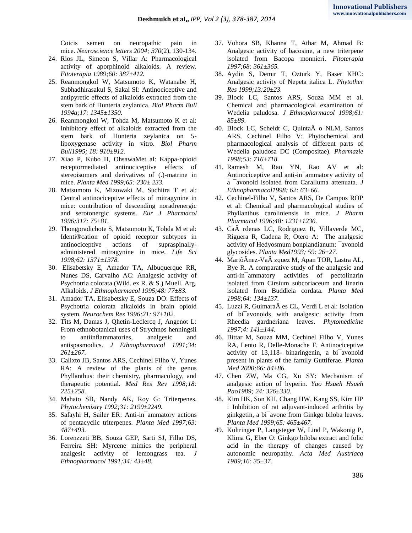Coicis semen on neuropathic pain in mice. *Neuroscience letters 2004; 370*(2), 130-134.

- 24. Rios JL, Simeon S, Villar A: Pharmacological activity of aporphinoid alkaloids. A review. *Fitoterapia 1989;60: 387±412.*
- 25. Reanmongkol W, Matsumoto K, Watanabe H, Subhadhirasakul S, Sakai SI: Antinociceptive and antipyretic effects of alkaloids extracted from the stem bark of Hunteria zeylanica. *Biol Pharm Bull 1994a;17: 1345±1350.*
- 26. Reanmongkol W, Tohda M, Matsumoto K et al: Inhibitory effect of alkaloids extracted from the stem bark of Hunteria zeylanica on 5 lipoxygenase activity in vitro. *Biol Pharm Bull1995; 18: 910±912.*
- 27. Xiao P, Kubo H, OhsawaMet al: Kappa-opioid receptormediated antinociceptive effects of stereoisomers and derivatives of (.)-matrine in mice. *Planta Med 1999;65: 230± 233.*
- 28. Matsumoto K, Mizowaki M, Suchitra T et al: Central antinociceptive effects of mitragynine in mice: contribution of descending noradrenergic and serotonergic systems. *Eur J Pharmacol 1996;317: 75±81.*
- 29. Thongpradichote S, Matsumoto K, Tohda M et al: Identi®cation of opioid receptor subtypes in antinociceptive actions of supraspinallyadministered mitragynine in mice. *Life Sci 1998;62: 1371±1378.*
- 30. Elisabetsky E, Amador TA, Albuquerque RR, Nunes DS, Carvalho AC: Analgesic activity of Psychotria colorata (Wild. ex R. & S.) Muell. Arg. Alkaloids. *J Ethnopharmacol 1995;48: 77±83.*
- 31. Amador TA, Elisabetsky E, Souza DO: Effects of Psychotria colorata alkaloids in brain opioid system. *Neurochem Res 1996;21: 97±102.*
- 32. Tits M, Damas J, Qhetin-Leclercq J, Angenot L: From ethnobotanical uses of Strychnos henningsii to antiinflammatories, analgesic and antispasmodics. *J Ethnopharmacol 1991;34: 261±267.*
- 33. Calixto JB, Santos ARS, Cechinel Filho V, Yunes RA: A review of the plants of the genus Phyllanthus: their chemistry, pharmacology, and therapeutic potential. *Med Res Rev 1998;18: 225±258.*
- 34. Mahato SB, Nandy AK, Roy G: Triterpenes. *Phytochemistry 1992;31: 2199±2249.*
- 35. Safayhi H, Sailer ER: Anti-in¯ammatory actions of pentacyclic triterpenes. *Planta Med 1997;63: 487±493.*
- 36. Lorenzzeti BB, Souza GEP, Sarti SJ, Filho DS, Ferreira SH: Myrcene mimics the peripheral analgesic activity of lemongrass tea. *J Ethnopharmacol 1991;34: 43±48.*
- 37. Vohora SB, Khanna T, Athar M, Ahmad B: Analgesic activity of bacosine, a new triterpene isolated from Bacopa monnieri. *Fitoterapia 1997;68: 361±365.*
- 38. Aydin S, Demir T, Ozturk Y, Baser KHC: Analgesic activity of Nepeta italica L. *Phytother Res 1999;13:20±23.*
- 39. Block LC, Santos ARS, Souza MM et al. Chemical and pharmacological examination of Wedelia paludosa. *J Ethnopharmacol 1998;61: 85±89.*
- 40. Block LC, Scheidt C, QuintaÄ o NLM, Santos ARS, Cechinel Filho V: Phytochemical and pharmacological analysis of different parts of Wedelia paludosa DC (Compositae). *Pharmazie 1998;53: 716±718.*
- 41. Ramesh M, Rao YN, Rao AV et al: Antinociceptive and anti-in¯ammatory activity of a ¯avonoid isolated from Caralluma attenuata. *J Ethnopharmacol1998; 62: 63±66.*
- 42. Cechinel-Filho V, Santos ARS, De Campos ROP et al: Chemical and pharmacological studies of Phyllanthus caroliniensis in mice. *J Pharm Pharmacol 1996;48: 1231±1236.*
- 43. Ca rdenas LC, Rodriguez R, Villaverde MC, Riguera R, Cadena R, Otero A: The analgesic activity of Hedyosmum bonplandianum: ¯avonoid glycosides. *Planta Med1993; 59: 26±27.*
- 44. MartõÂnez-Va zquez M, Apan TOR, Lastra AL, Bye R. A comparative study of the analgesic and anti-in¯ammatory activities of pectolinarin isolated from Cirsium subcoriaceum and linarin isolated from Buddleia cordata. *Planta Med 1998;64: 134±137.*
- 45. Luzzi R, GuimaraÄ es CL, Verdi L et al: Isolation of bi¯avonoids with analgesic activity from Rheedia gardneriana leaves. *Phytomedicine 1997;4: 141±144.*
- 46. Bittar M, Souza MM, Cechinel Filho V, Yunes RA, Lento R, Delle-Monache F. Antinociceptive activity of 13,118- binaringenin, a bi¯avonoid present in plants of the family Guttiferae. *Planta Med 2000;66: 84±86.*
- 47. Chen ZW, Ma CG, Xu SY: Mechanism of analgesic action of hyperin*. Yao Hsueh Hsueh Pao1989; 24: 326±330.*
- 48. Kim HK, Son KH, Chang HW, Kang SS, Kim HP : Inhibition of rat adjuvant-induced arthritis by ginkgetin, a bi¯avone from Ginkgo biloba leaves. *Planta Med 1999;65: 465±467.*
- 49. Koltringer P, Langsteger W, Lind P, Wakonig P, Klima G, Eber O: Ginkgo biloba extract and folic acid in the therapy of changes caused by autonomic neuropathy. *Acta Med Austriaca 1989;16: 35±37.*